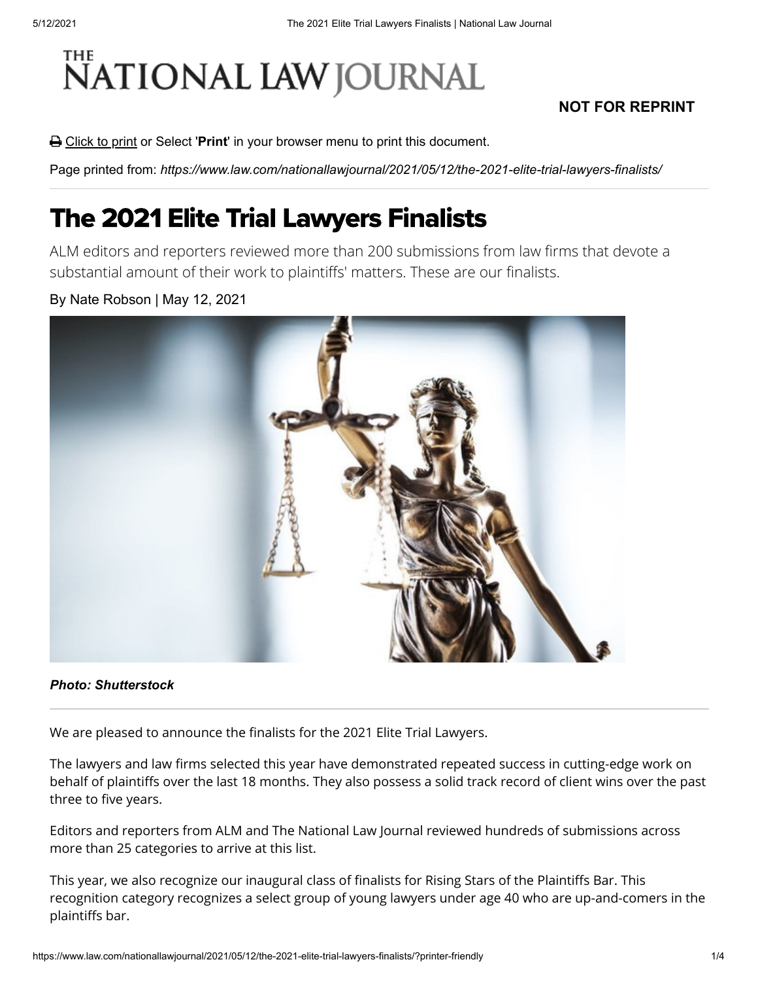# NATIONAL LAW JOURNAL

### **NOT FOR REPRINT**

**△** Click to print or Select '**Print'** in your browser menu to print this document.

Page printed from: *https://www.law.com/nationallawjournal/2021/05/12/the-2021-elite-trial-lawyers-finalists/*

## The 2021 Elite Trial Lawyers Finalists

ALM editors and reporters reviewed more than 200 submissions from law firms that devote a substantial amount of their work to plaintiffs' matters. These are our finalists.

#### By Nate Robson | May 12, 2021



#### *Photo: Shutterstock*

We are pleased to announce the finalists for the 2021 Elite Trial Lawyers.

The lawyers and law firms selected this year have demonstrated repeated success in cutting-edge work on behalf of plaintiffs over the last 18 months. They also possess a solid track record of client wins over the past three to five years.

Editors and reporters from ALM and The National Law Journal reviewed hundreds of submissions across more than 25 categories to arrive at this list.

This year, we also recognize our inaugural class of finalists for Rising Stars of the Plaintiffs Bar. This recognition category recognizes a select group of young lawyers under age 40 who are up-and-comers in the plaintiffs bar.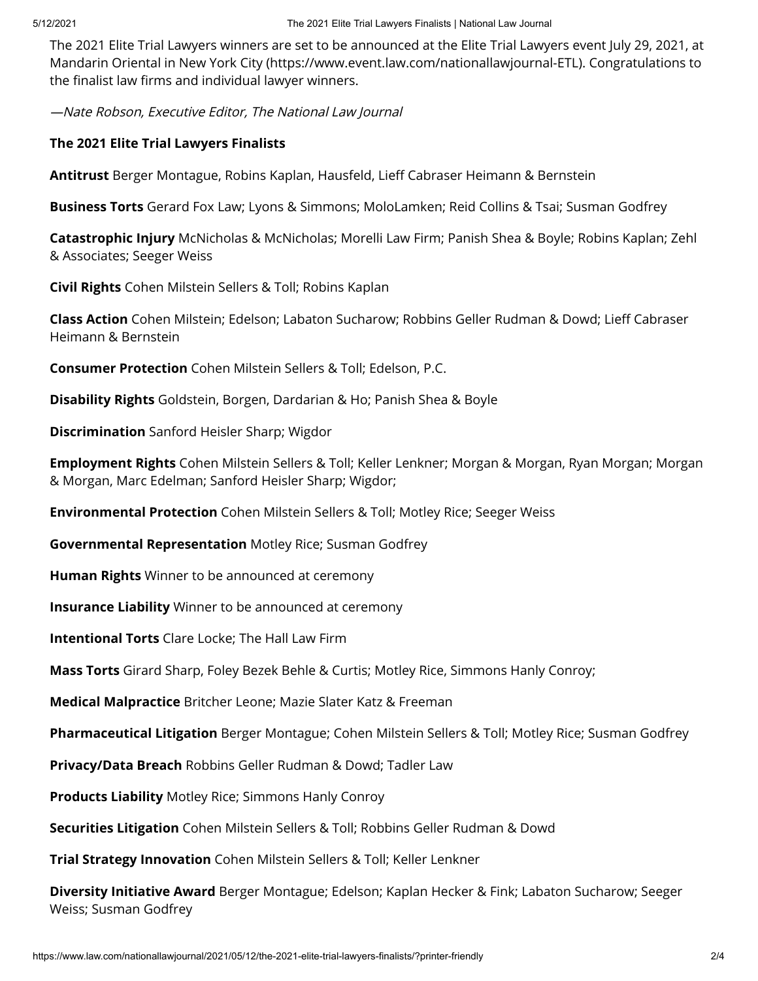[The 2021 Elite Trial Lawyers winners are set to be announced at the Elite Trial Lawyers event July 29, 2021, at](https://www.event.law.com/nationallawjournal-ETL) Mandarin Oriental in New York City (https://www.event.law.com/nationallawjournal-ETL). Congratulations to the finalist law firms and individual lawyer winners.

—Nate Robson, Executive Editor, The National Law Journal

#### **The 2021 Elite Trial Lawyers Finalists**

**Antitrust** Berger Montague, Robins Kaplan, Hausfeld, Lieff Cabraser Heimann & Bernstein

**Business Torts** Gerard Fox Law; Lyons & Simmons; MoloLamken; Reid Collins & Tsai; Susman Godfrey

**Catastrophic Injury** McNicholas & McNicholas; Morelli Law Firm; Panish Shea & Boyle; Robins Kaplan; Zehl & Associates; Seeger Weiss

**Civil Rights** Cohen Milstein Sellers & Toll; Robins Kaplan

**Class Action** Cohen Milstein; Edelson; Labaton Sucharow; Robbins Geller Rudman & Dowd; Lieff Cabraser Heimann & Bernstein

**Consumer Protection** Cohen Milstein Sellers & Toll; Edelson, P.C.

**Disability Rights** Goldstein, Borgen, Dardarian & Ho; Panish Shea & Boyle

**Discrimination** Sanford Heisler Sharp; Wigdor

**Employment Rights** Cohen Milstein Sellers & Toll; Keller Lenkner; Morgan & Morgan, Ryan Morgan; Morgan & Morgan, Marc Edelman; Sanford Heisler Sharp; Wigdor;

**Environmental Protection** Cohen Milstein Sellers & Toll; Motley Rice; Seeger Weiss

**Governmental Representation** Motley Rice; Susman Godfrey

**Human Rights** Winner to be announced at ceremony

**Insurance Liability** Winner to be announced at ceremony

**Intentional Torts** Clare Locke; The Hall Law Firm

**Mass Torts** Girard Sharp, Foley Bezek Behle & Curtis; Motley Rice, Simmons Hanly Conroy;

**Medical Malpractice** Britcher Leone; Mazie Slater Katz & Freeman

**Pharmaceutical Litigation** Berger Montague; Cohen Milstein Sellers & Toll; Motley Rice; Susman Godfrey

**Privacy/Data Breach** Robbins Geller Rudman & Dowd; Tadler Law

**Products Liability** Motley Rice; Simmons Hanly Conroy

**Securities Litigation** Cohen Milstein Sellers & Toll; Robbins Geller Rudman & Dowd

**Trial Strategy Innovation** Cohen Milstein Sellers & Toll; Keller Lenkner

**Diversity Initiative Award** Berger Montague; Edelson; Kaplan Hecker & Fink; Labaton Sucharow; Seeger Weiss; Susman Godfrey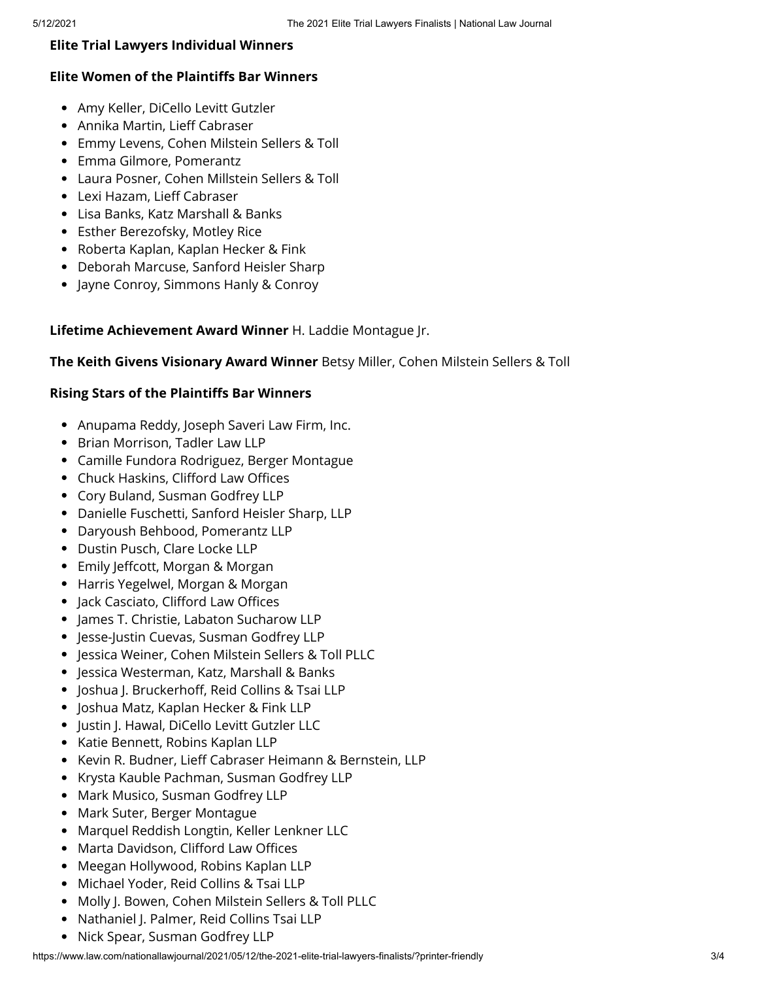#### **Elite Trial Lawyers Individual Winners**

#### **Elite Women of the Plaintiffs Bar Winners**

- Amy Keller, DiCello Levitt Gutzler
- Annika Martin, Lieff Cabraser
- Emmy Levens, Cohen Milstein Sellers & Toll
- Emma Gilmore, Pomerantz
- Laura Posner, Cohen Millstein Sellers & Toll
- Lexi Hazam, Lieff Cabraser
- Lisa Banks, Katz Marshall & Banks
- Esther Berezofsky, Motley Rice
- Roberta Kaplan, Kaplan Hecker & Fink
- Deborah Marcuse, Sanford Heisler Sharp
- Jayne Conroy, Simmons Hanly & Conroy

**Lifetime Achievement Award Winner** H. Laddie Montague Jr.

#### **The Keith Givens Visionary Award Winner** Betsy Miller, Cohen Milstein Sellers & Toll

#### **Rising Stars of the Plaintiffs Bar Winners**

- Anupama Reddy, Joseph Saveri Law Firm, Inc.
- Brian Morrison, Tadler Law LLP
- Camille Fundora Rodriguez, Berger Montague
- Chuck Haskins, Clifford Law Offices
- Cory Buland, Susman Godfrey LLP
- Danielle Fuschetti, Sanford Heisler Sharp, LLP
- Daryoush Behbood, Pomerantz LLP
- Dustin Pusch, Clare Locke LLP
- Emily Jeffcott, Morgan & Morgan
- Harris Yegelwel, Morgan & Morgan
- Jack Casciato, Clifford Law Offices
- James T. Christie, Labaton Sucharow LLP
- Jesse-Justin Cuevas, Susman Godfrey LLP
- Jessica Weiner, Cohen Milstein Sellers & Toll PLLC
- Jessica Westerman, Katz, Marshall & Banks
- Joshua J. Bruckerhoff, Reid Collins & Tsai LLP
- Joshua Matz, Kaplan Hecker & Fink LLP
- Justin J. Hawal, DiCello Levitt Gutzler LLC
- Katie Bennett, Robins Kaplan LLP
- Kevin R. Budner, Lieff Cabraser Heimann & Bernstein, LLP
- Krysta Kauble Pachman, Susman Godfrey LLP
- Mark Musico, Susman Godfrey LLP
- Mark Suter, Berger Montague
- Marquel Reddish Longtin, Keller Lenkner LLC
- Marta Davidson, Clifford Law Offices
- Meegan Hollywood, Robins Kaplan LLP
- Michael Yoder, Reid Collins & Tsai LLP
- Molly J. Bowen, Cohen Milstein Sellers & Toll PLLC
- Nathaniel J. Palmer, Reid Collins Tsai LLP
- Nick Spear, Susman Godfrey LLP